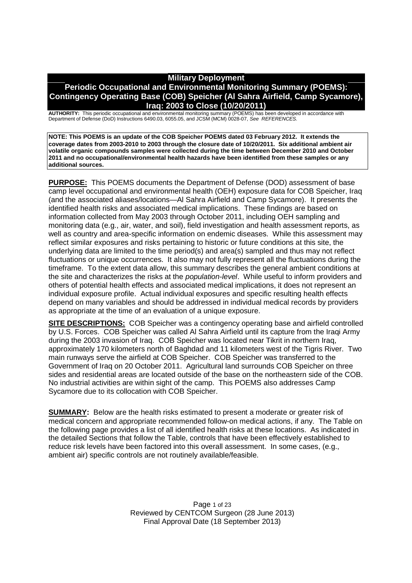# **Military Deployment Periodic Occupational and Environmental Monitoring Summary (POEMS): Contingency Operating Base (COB) Speicher (Al Sahra Airfield, Camp Sycamore), Iraq: 2003 to Close (10/20/2011)**

**AUTHORITY:** This periodic occupational and environmental monitoring summary (POEMS) has been developed in accordance with Department of Defense (DoD) Instructions 6490.03, 6055.05, and JCSM (MCM) 0028-07, *See REFERENCES.*

**NOTE: This POEMS is an update of the COB Speicher POEMS dated 03 February 2012. It extends the coverage dates from 2003-2010 to 2003 through the closure date of 10/20/2011. Six additional ambient air volatile organic compounds samples were collected during the time between December 2010 and October 2011 and no occupational/environmental health hazards have been identified from these samples or any additional sources.**

**PURPOSE:** This POEMS documents the Department of Defense (DOD) assessment of base camp level occupational and environmental health (OEH) exposure data for COB Speicher, Iraq (and the associated aliases/locations—Al Sahra Airfield and Camp Sycamore). It presents the identified health risks and associated medical implications. These findings are based on information collected from May 2003 through October 2011, including OEH sampling and monitoring data (e.g., air, water, and soil), field investigation and health assessment reports, as well as country and area-specific information on endemic diseases. While this assessment may reflect similar exposures and risks pertaining to historic or future conditions at this site, the underlying data are limited to the time period(s) and area(s) sampled and thus may not reflect fluctuations or unique occurrences. It also may not fully represent all the fluctuations during the timeframe. To the extent data allow, this summary describes the general ambient conditions at the site and characterizes the risks at the *population-level*. While useful to inform providers and others of potential health effects and associated medical implications, it does not represent an individual exposure profile. Actual individual exposures and specific resulting health effects depend on many variables and should be addressed in individual medical records by providers as appropriate at the time of an evaluation of a unique exposure.

**SITE DESCRIPTIONS:** COB Speicher was a contingency operating base and airfield controlled by U.S. Forces. COB Speicher was called Al Sahra Airfield until its capture from the Iraqi Army during the 2003 invasion of Iraq. COB Speicher was located near Tikrit in northern Iraq, approximately 170 kilometers north of Baghdad and 11 kilometers west of the Tigris River. Two main runways serve the airfield at COB Speicher. COB Speicher was transferred to the Government of Iraq on 20 October 2011. Agricultural land surrounds COB Speicher on three sides and residential areas are located outside of the base on the northeastern side of the COB. No industrial activities are within sight of the camp. This POEMS also addresses Camp Sycamore due to its collocation with COB Speicher.

**SUMMARY:** Below are the health risks estimated to present a moderate or greater risk of medical concern and appropriate recommended follow-on medical actions, if any. The Table on the following page provides a list of all identified health risks at these locations. As indicated in the detailed Sections that follow the Table, controls that have been effectively established to reduce risk levels have been factored into this overall assessment. In some cases, (e.g., ambient air) specific controls are not routinely available/feasible.

> Page 1 of 23 Reviewed by CENTCOM Surgeon (28 June 2013) Final Approval Date (18 September 2013)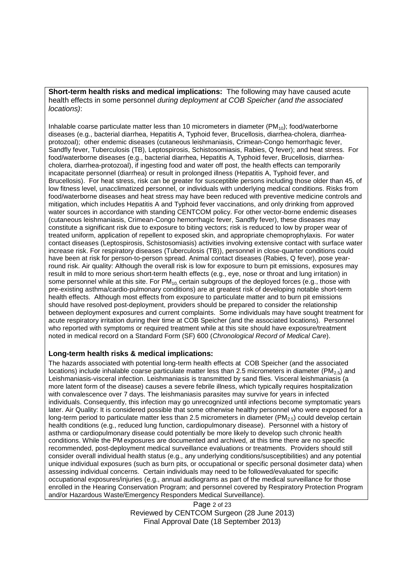**Short-term health risks and medical implications:** The following may have caused acute health effects in some personnel *during deployment at COB Speicher (and the associated locations)*:

Inhalable coarse particulate matter less than 10 micrometers in diameter  $(PM_{10})$ ; food/waterborne diseases (e.g., bacterial diarrhea, Hepatitis A, Typhoid fever, Brucellosis, diarrhea-cholera, diarrheaprotozoal); other endemic diseases (cutaneous leishmaniasis, Crimean-Congo hemorrhagic fever, Sandfly fever, Tuberculosis (TB), Leptospirosis, Schistosomiasis, Rabies, Q fever); and heat stress. For food/waterborne diseases (e.g., bacterial diarrhea, Hepatitis A, Typhoid fever, Brucellosis, diarrheacholera, diarrhea-protozoal), if ingesting food and water off post, the health effects can temporarily incapacitate personnel (diarrhea) or result in prolonged illness (Hepatitis A, Typhoid fever, and Brucellosis). For heat stress, risk can be greater for susceptible persons including those older than 45, of low fitness level, unacclimatized personnel, or individuals with underlying medical conditions. Risks from food/waterborne diseases and heat stress may have been reduced with preventive medicine controls and mitigation, which includes Hepatitis A and Typhoid fever vaccinations, and only drinking from approved water sources in accordance with standing CENTCOM policy. For other vector-borne endemic diseases (cutaneous leishmaniasis, Crimean-Congo hemorrhagic fever, Sandfly fever), these diseases may constitute a significant risk due to exposure to biting vectors; risk is reduced to low by proper wear of treated uniform, application of repellent to exposed skin, and appropriate chemoprophylaxis. For water contact diseases (Leptospirosis, Schistosomiasis) activities involving extensive contact with surface water increase risk. For respiratory diseases (Tuberculosis (TB)), personnel in close-quarter conditions could have been at risk for person-to-person spread. Animal contact diseases (Rabies, Q fever), pose yearround risk. Air quality: Although the overall risk is low for exposure to burn pit emissions, exposures may result in mild to more serious short-term health effects (e.g., eye, nose or throat and lung irritation) in some personnel while at this site. For  $PM_{10}$  certain subgroups of the deployed forces (e.g., those with pre-existing asthma/cardio-pulmonary conditions) are at greatest risk of developing notable short-term health effects. Although most effects from exposure to particulate matter and to burn pit emissions should have resolved post-deployment, providers should be prepared to consider the relationship between deployment exposures and current complaints. Some individuals may have sought treatment for acute respiratory irritation during their time at COB Speicher (and the associated locations). Personnel who reported with symptoms or required treatment while at this site should have exposure/treatment noted in medical record on a Standard Form (SF) 600 (*Chronological Record of Medical Care*).

## **Long-term health risks & medical implications:**

The hazards associated with potential long-term health effects at COB Speicher (and the associated locations) include inhalable coarse particulate matter less than 2.5 micrometers in diameter ( $PM_{2.5}$ ) and Leishmaniasis-visceral infection. Leishmaniasis is transmitted by sand flies. Visceral leishmaniasis (a more latent form of the disease) causes a severe febrile illness, which typically requires hospitalization with convalescence over 7 days. The leishmaniasis parasites may survive for years in infected individuals. Consequently, this infection may go unrecognized until infections become symptomatic years later. Air Quality: It is considered possible that some otherwise healthy personnel who were exposed for a long-term period to particulate matter less than 2.5 micrometers in diameter ( $PM<sub>2.5</sub>$ ) could develop certain health conditions (e.g., reduced lung function, cardiopulmonary disease). Personnel with a history of asthma or cardiopulmonary disease could potentially be more likely to develop such chronic health conditions. While the PM exposures are documented and archived, at this time there are no specific recommended, post-deployment medical surveillance evaluations or treatments. Providers should still consider overall individual health status (e.g., any underlying conditions/susceptibilities) and any potential unique individual exposures (such as burn pits, or occupational or specific personal dosimeter data) when assessing individual concerns. Certain individuals may need to be followed/evaluated for specific occupational exposures/injuries (e.g., annual audiograms as part of the medical surveillance for those enrolled in the Hearing Conservation Program; and personnel covered by Respiratory Protection Program and/or Hazardous Waste/Emergency Responders Medical Surveillance).

> Page 2 of 23 Reviewed by CENTCOM Surgeon (28 June 2013) Final Approval Date (18 September 2013)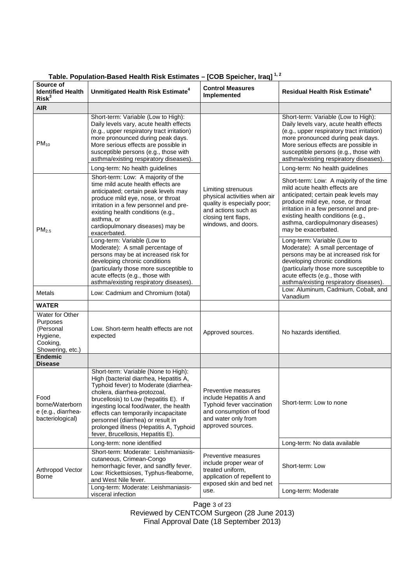| Source of<br><b>Identified Health</b><br>Risk <sup>3</sup>                                    | Unmitigated Health Risk Estimate <sup>4</sup>                                                                                                                                                                                                                                                                                                                                                                                                                                                                                                                              | <b>Control Measures</b><br>Implemented                                                                                                                 | <b>Residual Health Risk Estimate<sup>4</sup></b>                                                                                                                                                                                                                                                                                                                                                                                                                                                                                                                                                            |
|-----------------------------------------------------------------------------------------------|----------------------------------------------------------------------------------------------------------------------------------------------------------------------------------------------------------------------------------------------------------------------------------------------------------------------------------------------------------------------------------------------------------------------------------------------------------------------------------------------------------------------------------------------------------------------------|--------------------------------------------------------------------------------------------------------------------------------------------------------|-------------------------------------------------------------------------------------------------------------------------------------------------------------------------------------------------------------------------------------------------------------------------------------------------------------------------------------------------------------------------------------------------------------------------------------------------------------------------------------------------------------------------------------------------------------------------------------------------------------|
| <b>AIR</b>                                                                                    |                                                                                                                                                                                                                                                                                                                                                                                                                                                                                                                                                                            |                                                                                                                                                        |                                                                                                                                                                                                                                                                                                                                                                                                                                                                                                                                                                                                             |
| $PM_{10}$                                                                                     | Short-term: Variable (Low to High):<br>Daily levels vary, acute health effects<br>(e.g., upper respiratory tract irritation)<br>more pronounced during peak days.<br>More serious effects are possible in<br>susceptible persons (e.g., those with<br>asthma/existing respiratory diseases).<br>Long-term: No health guidelines                                                                                                                                                                                                                                            | Limiting strenuous<br>physical activities when air<br>quality is especially poor;<br>and actions such as<br>closing tent flaps,<br>windows, and doors. | Short-term: Variable (Low to High):<br>Daily levels vary, acute health effects<br>(e.g., upper respiratory tract irritation)<br>more pronounced during peak days.<br>More serious effects are possible in<br>susceptible persons (e.g., those with<br>asthma/existing respiratory diseases).<br>Long-term: No health guidelines                                                                                                                                                                                                                                                                             |
| PM <sub>2.5</sub>                                                                             | Short-term: Low: A majority of the<br>time mild acute health effects are<br>anticipated; certain peak levels may<br>produce mild eye, nose, or throat<br>irritation in a few personnel and pre-<br>existing health conditions (e.g.,<br>asthma, or<br>cardiopulmonary diseases) may be<br>exacerbated.<br>Long-term: Variable (Low to<br>Moderate): A small percentage of<br>persons may be at increased risk for<br>developing chronic conditions<br>(particularly those more susceptible to<br>acute effects (e.g., those with<br>asthma/existing respiratory diseases). |                                                                                                                                                        | Short-term: Low: A majority of the time<br>mild acute health effects are<br>anticipated; certain peak levels may<br>produce mild eye, nose, or throat<br>irritation in a few personnel and pre-<br>existing health conditions (e.g.,<br>asthma, cardiopulmonary diseases)<br>may be exacerbated.<br>Long-term: Variable (Low to<br>Moderate): A small percentage of<br>persons may be at increased risk for<br>developing chronic conditions<br>(particularly those more susceptible to<br>acute effects (e.g., those with<br>asthma/existing respiratory diseases).<br>Low: Aluminum, Cadmium, Cobalt, and |
| Metals                                                                                        | Low: Cadmium and Chromium (total)                                                                                                                                                                                                                                                                                                                                                                                                                                                                                                                                          |                                                                                                                                                        | Vanadium                                                                                                                                                                                                                                                                                                                                                                                                                                                                                                                                                                                                    |
| WATER<br>Water for Other<br>Purposes<br>(Personal<br>Hygiene,<br>Cooking,<br>Showering, etc.) | Low. Short-term health effects are not<br>expected                                                                                                                                                                                                                                                                                                                                                                                                                                                                                                                         | Approved sources.                                                                                                                                      | No hazards identified.                                                                                                                                                                                                                                                                                                                                                                                                                                                                                                                                                                                      |
| <b>Endemic</b><br><b>Disease</b>                                                              |                                                                                                                                                                                                                                                                                                                                                                                                                                                                                                                                                                            |                                                                                                                                                        |                                                                                                                                                                                                                                                                                                                                                                                                                                                                                                                                                                                                             |
| Food<br>borne/Waterborn<br>e (e.g., diarrhea-<br>bacteriological)                             | Short-term: Variable (None to High):<br>High (bacterial diarrhea, Hepatitis A,<br>Typhoid fever) to Moderate (diarrhea-<br>cholera, diarrhea-protozoal,<br>brucellosis) to Low (hepatitis E). If<br>ingesting local food/water, the health<br>effects can temporarily incapacitate<br>personnel (diarrhea) or result in<br>prolonged illness (Hepatitis A, Typhoid<br>fever, Brucellosis, Hepatitis E).                                                                                                                                                                    | Preventive measures<br>include Hepatitis A and<br>Typhoid fever vaccination<br>and consumption of food<br>and water only from<br>approved sources.     | Short-term: Low to none                                                                                                                                                                                                                                                                                                                                                                                                                                                                                                                                                                                     |
|                                                                                               | Long-term: none identified                                                                                                                                                                                                                                                                                                                                                                                                                                                                                                                                                 |                                                                                                                                                        | Long-term: No data available                                                                                                                                                                                                                                                                                                                                                                                                                                                                                                                                                                                |
| Arthropod Vector<br>Borne                                                                     | Short-term: Moderate: Leishmaniasis-<br>cutaneous, Crimean-Congo<br>hemorrhagic fever, and sandfly fever.<br>Low: Rickettsioses, Typhus-fleaborne,<br>and West Nile fever.                                                                                                                                                                                                                                                                                                                                                                                                 | Preventive measures<br>include proper wear of<br>treated uniform,<br>application of repellent to<br>exposed skin and bed net<br>use.                   | Short-term: Low                                                                                                                                                                                                                                                                                                                                                                                                                                                                                                                                                                                             |
|                                                                                               | Long-term: Moderate: Leishmaniasis-<br>visceral infection                                                                                                                                                                                                                                                                                                                                                                                                                                                                                                                  |                                                                                                                                                        | Long-term: Moderate                                                                                                                                                                                                                                                                                                                                                                                                                                                                                                                                                                                         |

# **Table. Population-Based Health Risk Estimates – [COB Speicher, Iraq] 1, 2**

Page 3 of 23

Reviewed by CENTCOM Surgeon (28 June 2013)

Final Approval Date (18 September 2013)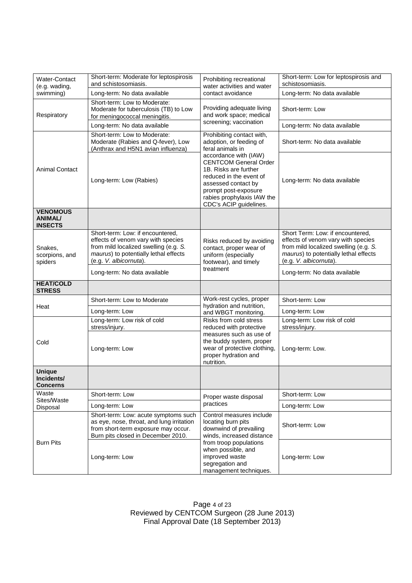|                                             | Short-term: Moderate for leptospirosis                                           |                                                                                                             | Short-term: Low for leptospirosis and                           |
|---------------------------------------------|----------------------------------------------------------------------------------|-------------------------------------------------------------------------------------------------------------|-----------------------------------------------------------------|
| Water-Contact<br>(e.g. wading,<br>swimming) | and schistosomiasis.                                                             | Prohibiting recreational<br>water activities and water                                                      | schistosomiasis.                                                |
|                                             | Long-term: No data available                                                     | contact avoidance                                                                                           | Long-term: No data available                                    |
| Respiratory                                 | Short-term: Low to Moderate:                                                     |                                                                                                             |                                                                 |
|                                             | Moderate for tuberculosis (TB) to Low                                            | Providing adequate living<br>and work space; medical<br>screening; vaccination                              | Short-term: Low                                                 |
|                                             | for meningococcal meningitis.<br>Long-term: No data available                    |                                                                                                             | Long-term: No data available                                    |
|                                             | Short-term: Low to Moderate:                                                     | Prohibiting contact with,                                                                                   |                                                                 |
|                                             | Moderate (Rabies and Q-fever), Low                                               | adoption, or feeding of                                                                                     | Short-term: No data available                                   |
|                                             | (Anthrax and H5N1 avian influenza)                                               | feral animals in                                                                                            |                                                                 |
|                                             |                                                                                  | accordance with (IAW)                                                                                       |                                                                 |
| <b>Animal Contact</b>                       | Long-term: Low (Rabies)                                                          | <b>CENTCOM General Order</b><br>1B. Risks are further                                                       |                                                                 |
|                                             |                                                                                  | reduced in the event of                                                                                     |                                                                 |
|                                             |                                                                                  | assessed contact by                                                                                         | Long-term: No data available                                    |
|                                             |                                                                                  | prompt post-exposure                                                                                        |                                                                 |
|                                             |                                                                                  | rabies prophylaxis IAW the<br>CDC's ACIP guidelines.                                                        |                                                                 |
| <b>VENOMOUS</b>                             |                                                                                  |                                                                                                             |                                                                 |
| <b>ANIMAL/</b><br><b>INSECTS</b>            |                                                                                  |                                                                                                             |                                                                 |
|                                             | Short-term: Low: if encountered,                                                 |                                                                                                             | Short Term: Low: if encountered,                                |
|                                             | effects of venom vary with species                                               | Risks reduced by avoiding                                                                                   | effects of venom vary with species                              |
| Snakes,                                     | from mild localized swelling (e.g. S.                                            | contact, proper wear of                                                                                     | from mild localized swelling (e.g. S.                           |
| scorpions, and                              | maurus) to potentially lethal effects<br>(e.g. V. albicornuta).                  | uniform (especially<br>footwear), and timely<br>treatment                                                   | maurus) to potentially lethal effects<br>(e.g. V. albicornuta). |
| spiders                                     |                                                                                  |                                                                                                             |                                                                 |
|                                             | Long-term: No data available                                                     |                                                                                                             | Long-term: No data available                                    |
| <b>HEAT/COLD</b><br><b>STRESS</b>           |                                                                                  |                                                                                                             |                                                                 |
| Heat                                        | Short-term: Low to Moderate                                                      | Work-rest cycles, proper                                                                                    | Short-term: Low                                                 |
|                                             | Long-term: Low                                                                   | hydration and nutrition,<br>and WBGT monitoring.                                                            | Long-term: Low                                                  |
|                                             | Long-term: Low risk of cold                                                      | Risks from cold stress                                                                                      | Long-term: Low risk of cold                                     |
|                                             | stress/injury.                                                                   | reduced with protective                                                                                     | stress/injury.                                                  |
| Cold                                        | Long-term: Low                                                                   | measures such as use of<br>the buddy system, proper<br>wear of protective clothing,<br>proper hydration and |                                                                 |
|                                             |                                                                                  |                                                                                                             | Long-term: Low.                                                 |
|                                             |                                                                                  |                                                                                                             |                                                                 |
|                                             |                                                                                  | nutrition.                                                                                                  |                                                                 |
| <b>Unique</b><br>Incidents/                 |                                                                                  |                                                                                                             |                                                                 |
| <b>Concerns</b>                             |                                                                                  |                                                                                                             |                                                                 |
| Waste<br>Sites/Waste<br>Disposal            | Short-term: Low                                                                  | Proper waste disposal<br>practices                                                                          | Short-term: Low                                                 |
|                                             | Long-term: Low                                                                   |                                                                                                             | Long-term: Low                                                  |
| <b>Burn Pits</b>                            | Short-term: Low: acute symptoms such                                             | Control measures include<br>locating burn pits<br>downwind of prevailing<br>winds, increased distance       |                                                                 |
|                                             | as eye, nose, throat, and lung irritation<br>from short-term exposure may occur. |                                                                                                             | Short-term: Low                                                 |
|                                             | Burn pits closed in December 2010.                                               |                                                                                                             |                                                                 |
|                                             |                                                                                  | from troop populations<br>when possible, and<br>improved waste                                              |                                                                 |
|                                             | Long-term: Low                                                                   |                                                                                                             | Long-term: Low                                                  |
|                                             |                                                                                  | segregation and                                                                                             |                                                                 |
|                                             |                                                                                  | management techniques.                                                                                      |                                                                 |

Page 4 of 23 Reviewed by CENTCOM Surgeon (28 June 2013) Final Approval Date (18 September 2013)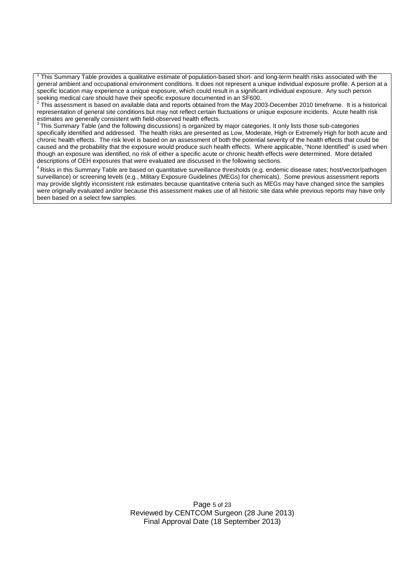1 This Summary Table provides a qualitative estimate of population-based short- and long-term health risks associated with the general ambient and occupational environment conditions. It does not represent a unique individual exposure profile. A person at a specific location may experience a unique exposure, which could result in a significant individual exposure. Any such person

seeking medical care should have their specific exposure documented in an SF600.<br><sup>2</sup> This assessment is based on available data and reports obtained from the May 2003-December 2010 timeframe. It is a historical representation of general site conditions but may not reflect certain fluctuations or unique exposure incidents. Acute health risk estimates are generally consistent with field-observed health effects.

 $3$  This Summary Table (and the following discussions) is organized by major categories. It only lists those sub-categories specifically identified and addressed. The health risks are presented as Low, Moderate, High or Extremely High for both acute and chronic health effects. The risk level is based on an assessment of both the potential severity of the health effects that could be caused and the probability that the exposure would produce such health effects. Where applicable, "None Identified" is used when though an exposure was identified, no risk of either a specific acute or chronic health effects were determined. More detailed descriptions of OEH exposures that were evaluated are discussed in the following sections.

<sup>4</sup> Risks in this Summary Table are based on quantitative surveillance thresholds (e.g. endemic disease rates; host/vector/pathogen surveillance) or screening levels (e.g., Military Exposure Guidelines (MEGs) for chemicals). Some previous assessment reports may provide slightly inconsistent risk estimates because quantitative criteria such as MEGs may have changed since the samples were originally evaluated and/or because this assessment makes use of all historic site data while previous reports may have only been based on a select few samples.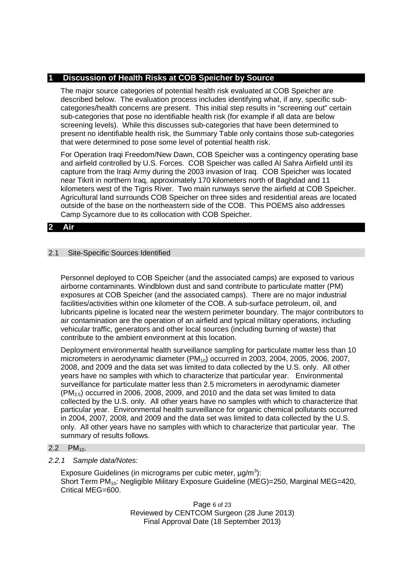# **1 Discussion of Health Risks at COB Speicher by Source**

The major source categories of potential health risk evaluated at COB Speicher are described below. The evaluation process includes identifying what, if any, specific subcategories/health concerns are present. This initial step results in "screening out" certain sub-categories that pose no identifiable health risk (for example if all data are below screening levels). While this discusses sub-categories that have been determined to present no identifiable health risk, the Summary Table only contains those sub-categories that were determined to pose some level of potential health risk.

For Operation Iraqi Freedom/New Dawn, COB Speicher was a contingency operating base and airfield controlled by U.S. Forces. COB Speicher was called Al Sahra Airfield until its capture from the Iraqi Army during the 2003 invasion of Iraq. COB Speicher was located near Tikrit in northern Iraq, approximately 170 kilometers north of Baghdad and 11 kilometers west of the Tigris River. Two main runways serve the airfield at COB Speicher. Agricultural land surrounds COB Speicher on three sides and residential areas are located outside of the base on the northeastern side of the COB. This POEMS also addresses Camp Sycamore due to its collocation with COB Speicher.

## **2 Air**

## 2.1 Site-Specific Sources Identified

Personnel deployed to COB Speicher (and the associated camps) are exposed to various airborne contaminants. Windblown dust and sand contribute to particulate matter (PM) exposures at COB Speicher (and the associated camps). There are no major industrial facilities/activities within one kilometer of the COB. A sub-surface petroleum, oil, and lubricants pipeline is located near the western perimeter boundary. The major contributors to air contamination are the operation of an airfield and typical military operations, including vehicular traffic, generators and other local sources (including burning of waste) that contribute to the ambient environment at this location.

Deployment environmental health surveillance sampling for particulate matter less than 10 micrometers in aerodynamic diameter  $(PM_{10})$  occurred in 2003, 2004, 2005, 2006, 2007, 2008, and 2009 and the data set was limited to data collected by the U.S. only. All other years have no samples with which to characterize that particular year. Environmental surveillance for particulate matter less than 2.5 micrometers in aerodynamic diameter  $(PM_{2.5})$  occurred in 2006, 2008, 2009, and 2010 and the data set was limited to data collected by the U.S. only. All other years have no samples with which to characterize that particular year. Environmental health surveillance for organic chemical pollutants occurred in 2004, 2007, 2008, and 2009 and the data set was limited to data collected by the U.S. only. All other years have no samples with which to characterize that particular year. The summary of results follows.

## $2.2$  PM<sub>10</sub>.

## *2.2.1 Sample data/Notes:*

Exposure Guidelines (in micrograms per cubic meter,  $\mu$ g/m<sup>3</sup>): Short Term PM10: Negligible Military Exposure Guideline (MEG)=250, Marginal MEG=420, Critical MEG=600.

> Page 6 of 23 Reviewed by CENTCOM Surgeon (28 June 2013) Final Approval Date (18 September 2013)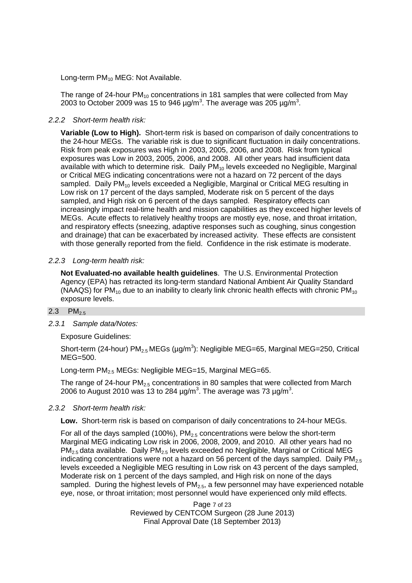Long-term  $PM_{10}$  MEG: Not Available.

The range of 24-hour  $PM_{10}$  concentrations in 181 samples that were collected from May 2003 to October 2009 was 15 to 946  $\mu$ g/m<sup>3</sup>. The average was 205  $\mu$ g/m<sup>3</sup>.

# *2.2.2 Short-term health risk:*

**Variable (Low to High).** Short-term risk is based on comparison of daily concentrations to the 24-hour MEGs. The variable risk is due to significant fluctuation in daily concentrations. Risk from peak exposures was High in 2003, 2005, 2006, and 2008. Risk from typical exposures was Low in 2003, 2005, 2006, and 2008. All other years had insufficient data available with which to determine risk. Daily  $PM_{10}$  levels exceeded no Negligible, Marginal or Critical MEG indicating concentrations were not a hazard on 72 percent of the days sampled. Daily PM<sub>10</sub> levels exceeded a Negligible, Marginal or Critical MEG resulting in Low risk on 17 percent of the days sampled, Moderate risk on 5 percent of the days sampled, and High risk on 6 percent of the days sampled. Respiratory effects can increasingly impact real-time health and mission capabilities as they exceed higher levels of MEGs. Acute effects to relatively healthy troops are mostly eye, nose, and throat irritation, and respiratory effects (sneezing, adaptive responses such as coughing, sinus congestion and drainage) that can be exacerbated by increased activity. These effects are consistent with those generally reported from the field. Confidence in the risk estimate is moderate.

# *2.2.3 Long-term health risk:*

**Not Evaluated-no available health guidelines**. The U.S. Environmental Protection Agency (EPA) has retracted its long-term standard National Ambient Air Quality Standard (NAAQS) for  $PM_{10}$  due to an inability to clearly link chronic health effects with chronic  $PM_{10}$ exposure levels.

## 2.3  $PM_{2.5}$

*2.3.1 Sample data/Notes:*

Exposure Guidelines:

Short-term (24-hour) PM<sub>2.5</sub> MEGs (µg/m<sup>3</sup>): Negligible MEG=65, Marginal MEG=250, Critical MEG=500.

Long-term  $PM_{2.5}$  MEGs: Negligible MEG=15, Marginal MEG=65.

The range of 24-hour  $PM_{2.5}$  concentrations in 80 samples that were collected from March 2006 to August 2010 was 13 to 284  $\mu$ g/m<sup>3</sup>. The average was 73  $\mu$ g/m<sup>3</sup>.

## *2.3.2 Short-term health risk:*

**Low.** Short-term risk is based on comparison of daily concentrations to 24-hour MEGs.

For all of the days sampled (100%),  $PM<sub>2.5</sub>$  concentrations were below the short-term Marginal MEG indicating Low risk in 2006, 2008, 2009, and 2010. All other years had no  $PM_{2.5}$  data available. Daily PM<sub>2.5</sub> levels exceeded no Negligible, Marginal or Critical MEG indicating concentrations were not a hazard on 56 percent of the days sampled. Daily  $PM_{2.5}$ levels exceeded a Negligible MEG resulting in Low risk on 43 percent of the days sampled, Moderate risk on 1 percent of the days sampled, and High risk on none of the days sampled. During the highest levels of  $PM_{2.5}$ , a few personnel may have experienced notable eye, nose, or throat irritation; most personnel would have experienced only mild effects.

> Page 7 of 23 Reviewed by CENTCOM Surgeon (28 June 2013) Final Approval Date (18 September 2013)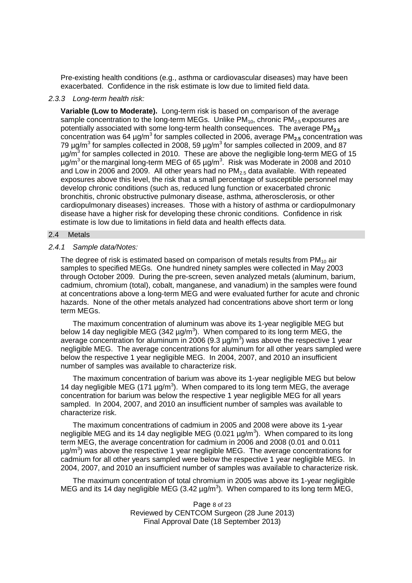Pre-existing health conditions (e.g., asthma or cardiovascular diseases) may have been exacerbated. Confidence in the risk estimate is low due to limited field data.

#### *2.3.3 Long-term health risk:*

**Variable (Low to Moderate).** Long-term risk is based on comparison of the average sample concentration to the long-term MEGs. Unlike  $PM_{10}$ , chronic  $PM_{2.5}$  exposures are potentially associated with some long-term health consequences. The average PM**2.5** concentration was 64 µg/m<sup>3</sup> for samples collected in 2006, average PM<sub>2.5</sub> concentration was 79  $\mu$ g/m<sup>3</sup> for samples collected in 2008, 59  $\mu$ g/m<sup>3</sup> for samples collected in 2009, and 87  $\mu$ g/m<sup>3</sup> for samples collected in 2010. These are above the negligible long-term MEG of 15  $\mu$ g/m<sup>3</sup> or the marginal long-term MEG of 65  $\mu$ g/m<sup>3</sup>. Risk was Moderate in 2008 and 2010 and Low in 2006 and 2009. All other years had no  $PM<sub>2.5</sub>$  data available. With repeated exposures above this level, the risk that a small percentage of susceptible personnel may develop chronic conditions (such as, reduced lung function or exacerbated chronic bronchitis, chronic obstructive pulmonary disease, asthma, atherosclerosis, or other cardiopulmonary diseases) increases. Those with a history of asthma or cardiopulmonary disease have a higher risk for developing these chronic conditions. Confidence in risk estimate is low due to limitations in field data and health effects data.

#### 2.4 Metals

#### *2.4.1 Sample data/Notes:*

The degree of risk is estimated based on comparison of metals results from  $PM_{10}$  air samples to specified MEGs. One hundred ninety samples were collected in May 2003 through October 2009. During the pre-screen, seven analyzed metals (aluminum, barium, cadmium, chromium (total), cobalt, manganese, and vanadium) in the samples were found at concentrations above a long-term MEG and were evaluated further for acute and chronic hazards. None of the other metals analyzed had concentrations above short term or long term MEGs.

The maximum concentration of aluminum was above its 1-year negligible MEG but below 14 day negligible MEG (342  $\mu$ g/m<sup>3</sup>). When compared to its long term MEG, the average concentration for aluminum in 2006 (9.3  $\mu$ g/m<sup>3</sup>) was above the respective 1 year negligible MEG. The average concentrations for aluminum for all other years sampled were below the respective 1 year negligible MEG. In 2004, 2007, and 2010 an insufficient number of samples was available to characterize risk.

The maximum concentration of barium was above its 1-year negligible MEG but below 14 day negligible MEG (171  $\mu$ g/m<sup>3</sup>). When compared to its long term MEG, the average concentration for barium was below the respective 1 year negligible MEG for all years sampled. In 2004, 2007, and 2010 an insufficient number of samples was available to characterize risk.

The maximum concentrations of cadmium in 2005 and 2008 were above its 1-year negligible MEG and its 14 day negligible MEG (0.021  $\mu$ g/m<sup>3</sup>). When compared to its long term MEG, the average concentration for cadmium in 2006 and 2008 (0.01 and 0.011  $\mu$ g/m<sup>3</sup>) was above the respective 1 year negligible MEG. The average concentrations for cadmium for all other years sampled were below the respective 1 year negligible MEG. In 2004, 2007, and 2010 an insufficient number of samples was available to characterize risk.

The maximum concentration of total chromium in 2005 was above its 1-year negligible MEG and its 14 day negligible MEG (3.42  $\mu$ g/m<sup>3</sup>). When compared to its long term MEG,

> Page 8 of 23 Reviewed by CENTCOM Surgeon (28 June 2013) Final Approval Date (18 September 2013)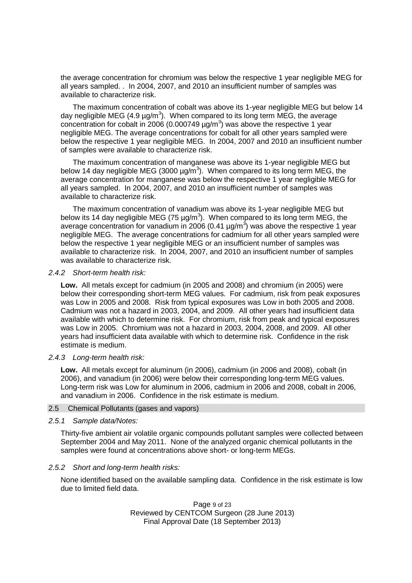the average concentration for chromium was below the respective 1 year negligible MEG for all years sampled. . In 2004, 2007, and 2010 an insufficient number of samples was available to characterize risk.

The maximum concentration of cobalt was above its 1-year negligible MEG but below 14 day negligible MEG (4.9  $\mu$ g/m<sup>3</sup>). When compared to its long term MEG, the average concentration for cobalt in 2006 (0.000749  $\mu$ g/m<sup>3</sup>) was above the respective 1 year negligible MEG. The average concentrations for cobalt for all other years sampled were below the respective 1 year negligible MEG. In 2004, 2007 and 2010 an insufficient number of samples were available to characterize risk.

The maximum concentration of manganese was above its 1-year negligible MEG but below 14 day negligible MEG (3000  $\mu$ g/m<sup>3</sup>). When compared to its long term MEG, the average concentration for manganese was below the respective 1 year negligible MEG for all years sampled. In 2004, 2007, and 2010 an insufficient number of samples was available to characterize risk.

The maximum concentration of vanadium was above its 1-year negligible MEG but below its 14 day negligible MEG (75  $\mu$ g/m<sup>3</sup>). When compared to its long term MEG, the average concentration for vanadium in 2006 (0.41  $\mu$ g/m<sup>3</sup>) was above the respective 1 year negligible MEG. The average concentrations for cadmium for all other years sampled were below the respective 1 year negligible MEG or an insufficient number of samples was available to characterize risk. In 2004, 2007, and 2010 an insufficient number of samples was available to characterize risk.

#### *2.4.2 Short-term health risk:*

**Low.** All metals except for cadmium (in 2005 and 2008) and chromium (in 2005) were below their corresponding short-term MEG values. For cadmium, risk from peak exposures was Low in 2005 and 2008. Risk from typical exposures was Low in both 2005 and 2008. Cadmium was not a hazard in 2003, 2004, and 2009. All other years had insufficient data available with which to determine risk. For chromium, risk from peak and typical exposures was Low in 2005. Chromium was not a hazard in 2003, 2004, 2008, and 2009. All other years had insufficient data available with which to determine risk. Confidence in the risk estimate is medium.

## *2.4.3 Long-term health risk:*

**Low.** All metals except for aluminum (in 2006), cadmium (in 2006 and 2008), cobalt (in 2006), and vanadium (in 2006) were below their corresponding long-term MEG values. Long-term risk was Low for aluminum in 2006, cadmium in 2006 and 2008, cobalt in 2006, and vanadium in 2006. Confidence in the risk estimate is medium.

#### 2.5 Chemical Pollutants (gases and vapors)

#### *2.5.1 Sample data/Notes:*

Thirty-five ambient air volatile organic compounds pollutant samples were collected between September 2004 and May 2011. None of the analyzed organic chemical pollutants in the samples were found at concentrations above short- or long-term MEGs.

## *2.5.2 Short and long-term health risks:*

None identified based on the available sampling data. Confidence in the risk estimate is low due to limited field data.

> Page 9 of 23 Reviewed by CENTCOM Surgeon (28 June 2013) Final Approval Date (18 September 2013)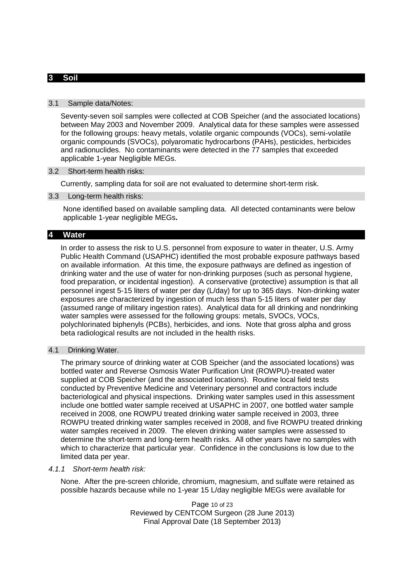# **3 Soil**

#### 3.1 Sample data/Notes:

Seventy-seven soil samples were collected at COB Speicher (and the associated locations) between May 2003 and November 2009. Analytical data for these samples were assessed for the following groups: heavy metals, volatile organic compounds (VOCs), semi-volatile organic compounds (SVOCs), polyaromatic hydrocarbons (PAHs), pesticides, herbicides and radionuclides. No contaminants were detected in the 77 samples that exceeded applicable 1-year Negligible MEGs.

## 3.2 Short-term health risks:

Currently, sampling data for soil are not evaluated to determine short-term risk.

#### 3.3 Long-term health risks:

None identified based on available sampling data. All detected contaminants were below applicable 1-year negligible MEGs**.**

## **4 Water**

In order to assess the risk to U.S. personnel from exposure to water in theater, U.S. Army Public Health Command (USAPHC) identified the most probable exposure pathways based on available information. At this time, the exposure pathways are defined as ingestion of drinking water and the use of water for non-drinking purposes (such as personal hygiene, food preparation, or incidental ingestion). A conservative (protective) assumption is that all personnel ingest 5-15 liters of water per day (L/day) for up to 365 days. Non-drinking water exposures are characterized by ingestion of much less than 5-15 liters of water per day (assumed range of military ingestion rates). Analytical data for all drinking and nondrinking water samples were assessed for the following groups: metals, SVOCs, VOCs, polychlorinated biphenyls (PCBs), herbicides, and ions. Note that gross alpha and gross beta radiological results are not included in the health risks.

#### 4.1 Drinking Water.

The primary source of drinking water at COB Speicher (and the associated locations) was bottled water and Reverse Osmosis Water Purification Unit (ROWPU)-treated water supplied at COB Speicher (and the associated locations). Routine local field tests conducted by Preventive Medicine and Veterinary personnel and contractors include bacteriological and physical inspections. Drinking water samples used in this assessment include one bottled water sample received at USAPHC in 2007, one bottled water sample received in 2008, one ROWPU treated drinking water sample received in 2003, three ROWPU treated drinking water samples received in 2008, and five ROWPU treated drinking water samples received in 2009. The eleven drinking water samples were assessed to determine the short-term and long-term health risks. All other years have no samples with which to characterize that particular year. Confidence in the conclusions is low due to the limited data per year.

#### *4.1.1 Short-term health risk:*

None. After the pre-screen chloride, chromium, magnesium, and sulfate were retained as possible hazards because while no 1-year 15 L/day negligible MEGs were available for

> Page 10 of 23 Reviewed by CENTCOM Surgeon (28 June 2013) Final Approval Date (18 September 2013)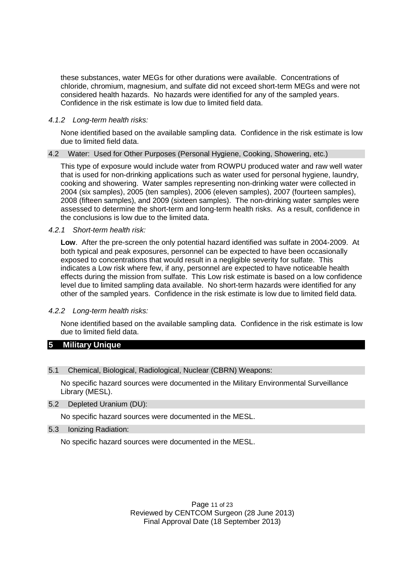these substances, water MEGs for other durations were available. Concentrations of chloride, chromium, magnesium, and sulfate did not exceed short-term MEGs and were not considered health hazards. No hazards were identified for any of the sampled years. Confidence in the risk estimate is low due to limited field data.

## *4.1.2 Long-term health risks:*

None identified based on the available sampling data. Confidence in the risk estimate is low due to limited field data.

## 4.2 Water: Used for Other Purposes (Personal Hygiene, Cooking, Showering, etc.)

This type of exposure would include water from ROWPU produced water and raw well water that is used for non-drinking applications such as water used for personal hygiene, laundry, cooking and showering. Water samples representing non-drinking water were collected in 2004 (six samples), 2005 (ten samples), 2006 (eleven samples), 2007 (fourteen samples), 2008 (fifteen samples), and 2009 (sixteen samples). The non-drinking water samples were assessed to determine the short-term and long-term health risks. As a result, confidence in the conclusions is low due to the limited data.

#### *4.2.1 Short-term health risk:*

**Low**. After the pre-screen the only potential hazard identified was sulfate in 2004-2009. At both typical and peak exposures, personnel can be expected to have been occasionally exposed to concentrations that would result in a negligible severity for sulfate. This indicates a Low risk where few, if any, personnel are expected to have noticeable health effects during the mission from sulfate. This Low risk estimate is based on a low confidence level due to limited sampling data available. No short-term hazards were identified for any other of the sampled years. Confidence in the risk estimate is low due to limited field data.

## *4.2.2 Long-term health risks:*

None identified based on the available sampling data. Confidence in the risk estimate is low due to limited field data.

# **5 Military Unique**

#### 5.1 Chemical, Biological, Radiological, Nuclear (CBRN) Weapons:

No specific hazard sources were documented in the Military Environmental Surveillance Library (MESL).

## 5.2 Depleted Uranium (DU):

No specific hazard sources were documented in the MESL.

## 5.3 Ionizing Radiation:

No specific hazard sources were documented in the MESL.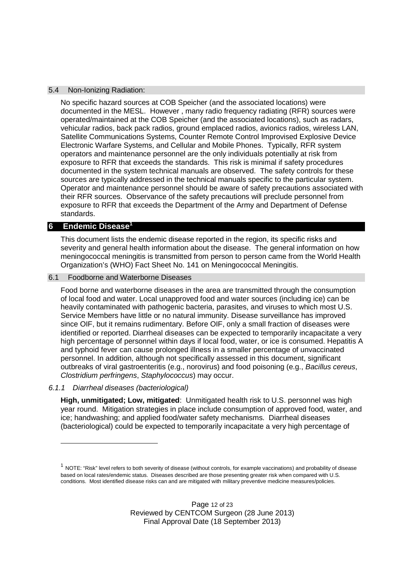## 5.4 Non-Ionizing Radiation:

No specific hazard sources at COB Speicher (and the associated locations) were documented in the MESL. However , many radio frequency radiating (RFR) sources were operated/maintained at the COB Speicher (and the associated locations), such as radars, vehicular radios, back pack radios, ground emplaced radios, avionics radios, wireless LAN, Satellite Communications Systems, Counter Remote Control Improvised Explosive Device Electronic Warfare Systems, and Cellular and Mobile Phones. Typically, RFR system operators and maintenance personnel are the only individuals potentially at risk from exposure to RFR that exceeds the standards. This risk is minimal if safety procedures documented in the system technical manuals are observed. The safety controls for these sources are typically addressed in the technical manuals specific to the particular system. Operator and maintenance personnel should be aware of safety precautions associated with their RFR sources. Observance of the safety precautions will preclude personnel from exposure to RFR that exceeds the Department of the Army and Department of Defense standards.

# **6 Endemic Disease<sup>1</sup>**

This document lists the endemic disease reported in the region, its specific risks and severity and general health information about the disease. The general information on how meningococcal meningitis is transmitted from person to person came from the World Health Organization's (WHO) Fact Sheet No. 141 on Meningococcal Meningitis.

#### 6.1 Foodborne and Waterborne Diseases

Food borne and waterborne diseases in the area are transmitted through the consumption of local food and water. Local unapproved food and water sources (including ice) can be heavily contaminated with pathogenic bacteria, parasites, and viruses to which most U.S. Service Members have little or no natural immunity. Disease surveillance has improved since OIF, but it remains rudimentary. Before OIF, only a small fraction of diseases were identified or reported. Diarrheal diseases can be expected to temporarily incapacitate a very high percentage of personnel within days if local food, water, or ice is consumed. Hepatitis A and typhoid fever can cause prolonged illness in a smaller percentage of unvaccinated personnel. In addition, although not specifically assessed in this document, significant outbreaks of viral gastroenteritis (e.g., norovirus) and food poisoning (e.g., *Bacillus cereus*, *Clostridium perfringens*, *Staphylococcus*) may occur.

#### *6.1.1 Diarrheal diseases (bacteriological)*

**High, unmitigated; Low, mitigated**: Unmitigated health risk to U.S. personnel was high year round. Mitigation strategies in place include consumption of approved food, water, and ice; handwashing; and applied food/water safety mechanisms. Diarrheal diseases (bacteriological) could be expected to temporarily incapacitate a very high percentage of

 $^1$  NOTE: "Risk" level refers to both severity of disease (without controls, for example vaccinations) and probability of disease based on local rates/endemic status. Diseases described are those presenting greater risk when compared with U.S. conditions. Most identified disease risks can and are mitigated with military preventive medicine measures/policies.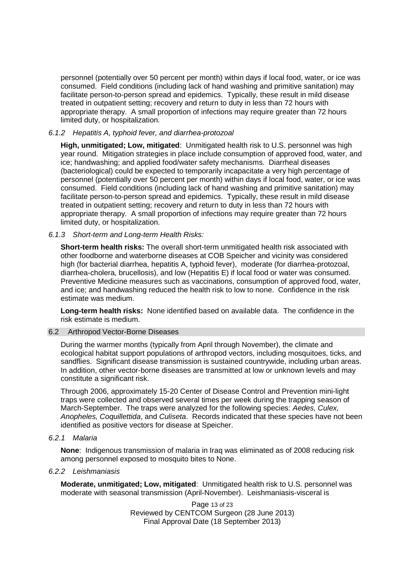personnel (potentially over 50 percent per month) within days if local food, water, or ice was consumed. Field conditions (including lack of hand washing and primitive sanitation) may facilitate person-to-person spread and epidemics. Typically, these result in mild disease treated in outpatient setting; recovery and return to duty in less than 72 hours with appropriate therapy. A small proportion of infections may require greater than 72 hours limited duty, or hospitalization.

# *6.1.2 Hepatitis A, typhoid fever, and diarrhea-protozoal*

**High, unmitigated; Low, mitigated**: Unmitigated health risk to U.S. personnel was high year round. Mitigation strategies in place include consumption of approved food, water, and ice; handwashing; and applied food/water safety mechanisms. Diarrheal diseases (bacteriological) could be expected to temporarily incapacitate a very high percentage of personnel (potentially over 50 percent per month) within days if local food, water, or ice was consumed. Field conditions (including lack of hand washing and primitive sanitation) may facilitate person-to-person spread and epidemics. Typically, these result in mild disease treated in outpatient setting; recovery and return to duty in less than 72 hours with appropriate therapy. A small proportion of infections may require greater than 72 hours limited duty, or hospitalization.

# *6.1.3 Short-term and Long-term Health Risks:*

**Short-term health risks:** The overall short-term unmitigated health risk associated with other foodborne and waterborne diseases at COB Speicher and vicinity was considered high (for bacterial diarrhea, hepatitis A, typhoid fever), moderate (for diarrhea-protozoal, diarrhea-cholera, brucellosis), and low (Hepatitis E) if local food or water was consumed. Preventive Medicine measures such as vaccinations, consumption of approved food, water, and ice; and handwashing reduced the health risk to low to none. Confidence in the risk estimate was medium.

**Long-term health risks:** None identified based on available data. The confidence in the risk estimate is medium.

## 6.2 Arthropod Vector-Borne Diseases

During the warmer months (typically from April through November), the climate and ecological habitat support populations of arthropod vectors, including mosquitoes, ticks, and sandflies. Significant disease transmission is sustained countrywide, including urban areas. In addition, other vector-borne diseases are transmitted at low or unknown levels and may constitute a significant risk.

Through 2006, approximately 15-20 Center of Disease Control and Prevention mini-light traps were collected and observed several times per week during the trapping season of March-September. The traps were analyzed for the following species: *Aedes, Culex, Anopheles, Coquillettida*, and *Culiseta*. Records indicated that these species have not been identified as positive vectors for disease at Speicher.

*6.2.1 Malaria*

**None**: Indigenous transmission of malaria in Iraq was eliminated as of 2008 reducing risk among personnel exposed to mosquito bites to None.

*6.2.2 Leishmaniasis*

**Moderate, unmitigated; Low, mitigated**: Unmitigated health risk to U.S. personnel was moderate with seasonal transmission (April-November). Leishmaniasis-visceral is

> Page 13 of 23 Reviewed by CENTCOM Surgeon (28 June 2013) Final Approval Date (18 September 2013)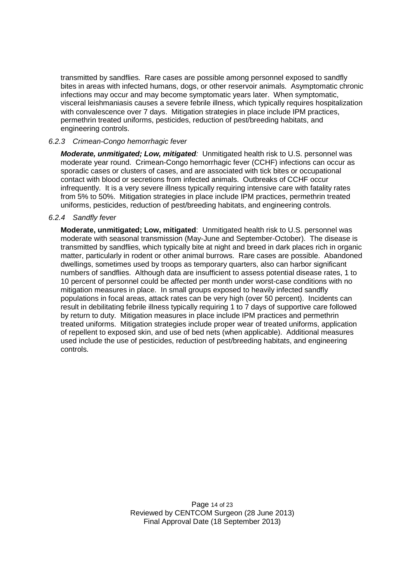transmitted by sandflies. Rare cases are possible among personnel exposed to sandfly bites in areas with infected humans, dogs, or other reservoir animals. Asymptomatic chronic infections may occur and may become symptomatic years later. When symptomatic, visceral leishmaniasis causes a severe febrile illness, which typically requires hospitalization with convalescence over 7 days. Mitigation strategies in place include IPM practices, permethrin treated uniforms, pesticides, reduction of pest/breeding habitats, and engineering controls.

# *6.2.3 Crimean-Congo hemorrhagic fever*

*Moderate, unmitigated; Low, mitigated:* Unmitigated health risk to U.S. personnel was moderate year round. Crimean-Congo hemorrhagic fever (CCHF) infections can occur as sporadic cases or clusters of cases, and are associated with tick bites or occupational contact with blood or secretions from infected animals. Outbreaks of CCHF occur infrequently. It is a very severe illness typically requiring intensive care with fatality rates from 5% to 50%. Mitigation strategies in place include IPM practices, permethrin treated uniforms, pesticides, reduction of pest/breeding habitats, and engineering controls.

## *6.2.4 Sandfly fever*

**Moderate, unmitigated; Low, mitigated**: Unmitigated health risk to U.S. personnel was moderate with seasonal transmission (May-June and September-October). The disease is transmitted by sandflies, which typically bite at night and breed in dark places rich in organic matter, particularly in rodent or other animal burrows. Rare cases are possible. Abandoned dwellings, sometimes used by troops as temporary quarters, also can harbor significant numbers of sandflies. Although data are insufficient to assess potential disease rates, 1 to 10 percent of personnel could be affected per month under worst-case conditions with no mitigation measures in place. In small groups exposed to heavily infected sandfly populations in focal areas, attack rates can be very high (over 50 percent). Incidents can result in debilitating febrile illness typically requiring 1 to 7 days of supportive care followed by return to duty. Mitigation measures in place include IPM practices and permethrin treated uniforms. Mitigation strategies include proper wear of treated uniforms, application of repellent to exposed skin, and use of bed nets (when applicable). Additional measures used include the use of pesticides, reduction of pest/breeding habitats, and engineering controls.

> Page 14 of 23 Reviewed by CENTCOM Surgeon (28 June 2013) Final Approval Date (18 September 2013)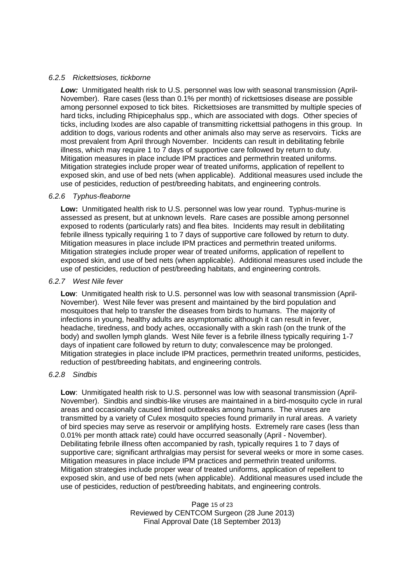## *6.2.5 Rickettsioses, tickborne*

*Low:* Unmitigated health risk to U.S. personnel was low with seasonal transmission (April-November). Rare cases (less than 0.1% per month) of rickettsioses disease are possible among personnel exposed to tick bites. Rickettsioses are transmitted by multiple species of hard ticks, including Rhipicephalus spp., which are associated with dogs. Other species of ticks, including Ixodes are also capable of transmitting rickettsial pathogens in this group. In addition to dogs, various rodents and other animals also may serve as reservoirs. Ticks are most prevalent from April through November. Incidents can result in debilitating febrile illness, which may require 1 to 7 days of supportive care followed by return to duty. Mitigation measures in place include IPM practices and permethrin treated uniforms. Mitigation strategies include proper wear of treated uniforms, application of repellent to exposed skin, and use of bed nets (when applicable). Additional measures used include the use of pesticides, reduction of pest/breeding habitats, and engineering controls.

# *6.2.6 Typhus-fleaborne*

**Low:** Unmitigated health risk to U.S. personnel was low year round. Typhus-murine is assessed as present, but at unknown levels. Rare cases are possible among personnel exposed to rodents (particularly rats) and flea bites. Incidents may result in debilitating febrile illness typically requiring 1 to 7 days of supportive care followed by return to duty. Mitigation measures in place include IPM practices and permethrin treated uniforms. Mitigation strategies include proper wear of treated uniforms, application of repellent to exposed skin, and use of bed nets (when applicable). Additional measures used include the use of pesticides, reduction of pest/breeding habitats, and engineering controls.

## *6.2.7 West Nile fever*

**Low**: Unmitigated health risk to U.S. personnel was low with seasonal transmission (April-November). West Nile fever was present and maintained by the bird population and mosquitoes that help to transfer the diseases from birds to humans. The majority of infections in young, healthy adults are asymptomatic although it can result in fever, headache, tiredness, and body aches, occasionally with a skin rash (on the trunk of the body) and swollen lymph glands. West Nile fever is a febrile illness typically requiring 1-7 days of inpatient care followed by return to duty; convalescence may be prolonged. Mitigation strategies in place include IPM practices, permethrin treated uniforms, pesticides, reduction of pest/breeding habitats, and engineering controls.

# *6.2.8 Sindbis*

**Low**: Unmitigated health risk to U.S. personnel was low with seasonal transmission (April-November). Sindbis and sindbis-like viruses are maintained in a bird-mosquito cycle in rural areas and occasionally caused limited outbreaks among humans. The viruses are transmitted by a variety of Culex mosquito species found primarily in rural areas. A variety of bird species may serve as reservoir or amplifying hosts. Extremely rare cases (less than 0.01% per month attack rate) could have occurred seasonally (April - November). Debilitating febrile illness often accompanied by rash, typically requires 1 to 7 days of supportive care; significant arthralgias may persist for several weeks or more in some cases. Mitigation measures in place include IPM practices and permethrin treated uniforms. Mitigation strategies include proper wear of treated uniforms, application of repellent to exposed skin, and use of bed nets (when applicable). Additional measures used include the use of pesticides, reduction of pest/breeding habitats, and engineering controls.

> Page 15 of 23 Reviewed by CENTCOM Surgeon (28 June 2013) Final Approval Date (18 September 2013)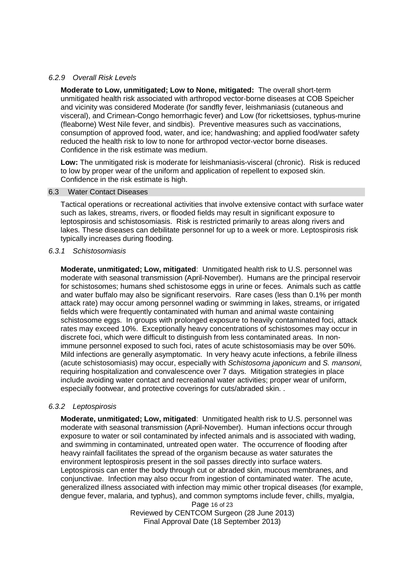## *6.2.9 Overall Risk Levels*

**Moderate to Low, unmitigated; Low to None, mitigated:** The overall short-term unmitigated health risk associated with arthropod vector-borne diseases at COB Speicher and vicinity was considered Moderate (for sandfly fever, leishmaniasis (cutaneous and visceral), and Crimean-Congo hemorrhagic fever) and Low (for rickettsioses, typhus-murine (fleaborne) West Nile fever, and sindbis). Preventive measures such as vaccinations, consumption of approved food, water, and ice; handwashing; and applied food/water safety reduced the health risk to low to none for arthropod vector-vector borne diseases. Confidence in the risk estimate was medium.

**Low:** The unmitigated risk is moderate for leishmaniasis-visceral (chronic). Risk is reduced to low by proper wear of the uniform and application of repellent to exposed skin. Confidence in the risk estimate is high.

#### 6.3 Water Contact Diseases

Tactical operations or recreational activities that involve extensive contact with surface water such as lakes, streams, rivers, or flooded fields may result in significant exposure to leptospirosis and schistosomiasis. Risk is restricted primarily to areas along rivers and lakes. These diseases can debilitate personnel for up to a week or more. Leptospirosis risk typically increases during flooding.

#### *6.3.1 Schistosomiasis*

**Moderate, unmitigated; Low, mitigated**: Unmitigated health risk to U.S. personnel was moderate with seasonal transmission (April-November). Humans are the principal reservoir for schistosomes; humans shed schistosome eggs in urine or feces. Animals such as cattle and water buffalo may also be significant reservoirs. Rare cases (less than 0.1% per month attack rate) may occur among personnel wading or swimming in lakes, streams, or irrigated fields which were frequently contaminated with human and animal waste containing schistosome eggs. In groups with prolonged exposure to heavily contaminated foci, attack rates may exceed 10%. Exceptionally heavy concentrations of schistosomes may occur in discrete foci, which were difficult to distinguish from less contaminated areas. In nonimmune personnel exposed to such foci, rates of acute schistosomiasis may be over 50%. Mild infections are generally asymptomatic. In very heavy acute infections, a febrile illness (acute schistosomiasis) may occur, especially with *Schistosoma japonicum* and *S. mansoni*, requiring hospitalization and convalescence over 7 days. Mitigation strategies in place include avoiding water contact and recreational water activities; proper wear of uniform, especially footwear, and protective coverings for cuts/abraded skin. .

#### *6.3.2 Leptospirosis*

**Moderate, unmitigated; Low, mitigated**: Unmitigated health risk to U.S. personnel was moderate with seasonal transmission (April-November). Human infections occur through exposure to water or soil contaminated by infected animals and is associated with wading, and swimming in contaminated, untreated open water. The occurrence of flooding after heavy rainfall facilitates the spread of the organism because as water saturates the environment leptospirosis present in the soil passes directly into surface waters. Leptospirosis can enter the body through cut or abraded skin, mucous membranes, and conjunctivae. Infection may also occur from ingestion of contaminated water. The acute, generalized illness associated with infection may mimic other tropical diseases (for example, dengue fever, malaria, and typhus), and common symptoms include fever, chills, myalgia,

> Page 16 of 23 Reviewed by CENTCOM Surgeon (28 June 2013) Final Approval Date (18 September 2013)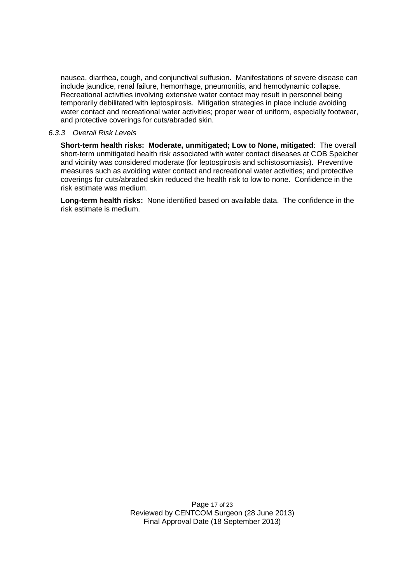nausea, diarrhea, cough, and conjunctival suffusion. Manifestations of severe disease can include jaundice, renal failure, hemorrhage, pneumonitis, and hemodynamic collapse. Recreational activities involving extensive water contact may result in personnel being temporarily debilitated with leptospirosis. Mitigation strategies in place include avoiding water contact and recreational water activities; proper wear of uniform, especially footwear, and protective coverings for cuts/abraded skin.

# *6.3.3 Overall Risk Levels*

**Short-term health risks: Moderate, unmitigated; Low to None, mitigated**: The overall short-term unmitigated health risk associated with water contact diseases at COB Speicher and vicinity was considered moderate (for leptospirosis and schistosomiasis). Preventive measures such as avoiding water contact and recreational water activities; and protective coverings for cuts/abraded skin reduced the health risk to low to none. Confidence in the risk estimate was medium.

**Long-term health risks:** None identified based on available data. The confidence in the risk estimate is medium.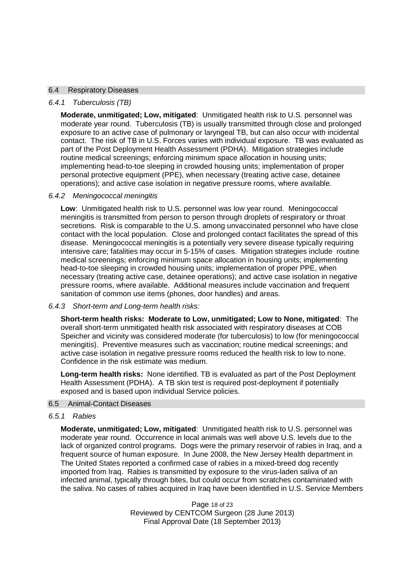## 6.4 Respiratory Diseases

## *6.4.1 Tuberculosis (TB)*

**Moderate, unmitigated; Low, mitigated**: Unmitigated health risk to U.S. personnel was moderate year round. Tuberculosis (TB) is usually transmitted through close and prolonged exposure to an active case of pulmonary or laryngeal TB, but can also occur with incidental contact. The risk of TB in U.S. Forces varies with individual exposure. TB was evaluated as part of the Post Deployment Health Assessment (PDHA). Mitigation strategies include routine medical screenings; enforcing minimum space allocation in housing units; implementing head-to-toe sleeping in crowded housing units; implementation of proper personal protective equipment (PPE), when necessary (treating active case, detainee operations); and active case isolation in negative pressure rooms, where available.

## *6.4.2 Meningococcal meningitis*

**Low**: Unmitigated health risk to U.S. personnel was low year round. Meningococcal meningitis is transmitted from person to person through droplets of respiratory or throat secretions. Risk is comparable to the U.S. among unvaccinated personnel who have close contact with the local population. Close and prolonged contact facilitates the spread of this disease. Meningococcal meningitis is a potentially very severe disease typically requiring intensive care; fatalities may occur in 5-15% of cases. Mitigation strategies include routine medical screenings; enforcing minimum space allocation in housing units; implementing head-to-toe sleeping in crowded housing units; implementation of proper PPE, when necessary (treating active case, detainee operations); and active case isolation in negative pressure rooms, where available. Additional measures include vaccination and frequent sanitation of common use items (phones, door handles) and areas.

*6.4.3 Short-term and Long-term health risks:*

**Short-term health risks: Moderate to Low, unmitigated; Low to None, mitigated**: The overall short-term unmitigated health risk associated with respiratory diseases at COB Speicher and vicinity was considered moderate (for tuberculosis) to low (for meningococcal meningitis). Preventive measures such as vaccination; routine medical screenings; and active case isolation in negative pressure rooms reduced the health risk to low to none. Confidence in the risk estimate was medium.

**Long-term health risks:** None identified. TB is evaluated as part of the Post Deployment Health Assessment (PDHA). A TB skin test is required post-deployment if potentially exposed and is based upon individual Service policies.

#### 6.5 Animal-Contact Diseases

## *6.5.1 Rabies*

**Moderate, unmitigated; Low, mitigated**: Unmitigated health risk to U.S. personnel was moderate year round. Occurrence in local animals was well above U.S. levels due to the lack of organized control programs. Dogs were the primary reservoir of rabies in Iraq, and a frequent source of human exposure. In June 2008, the New Jersey Health department in The United States reported a confirmed case of rabies in a mixed-breed dog recently imported from Iraq. Rabies is transmitted by exposure to the virus-laden saliva of an infected animal, typically through bites, but could occur from scratches contaminated with the saliva. No cases of rabies acquired in Iraq have been identified in U.S. Service Members

> Page 18 of 23 Reviewed by CENTCOM Surgeon (28 June 2013) Final Approval Date (18 September 2013)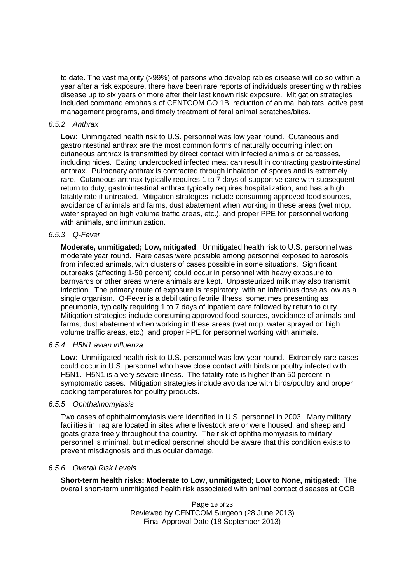to date. The vast majority (>99%) of persons who develop rabies disease will do so within a year after a risk exposure, there have been rare reports of individuals presenting with rabies disease up to six years or more after their last known risk exposure. Mitigation strategies included command emphasis of CENTCOM GO 1B, reduction of animal habitats, active pest management programs, and timely treatment of feral animal scratches/bites.

## *6.5.2 Anthrax*

**Low**: Unmitigated health risk to U.S. personnel was low year round. Cutaneous and gastrointestinal anthrax are the most common forms of naturally occurring infection; cutaneous anthrax is transmitted by direct contact with infected animals or carcasses, including hides. Eating undercooked infected meat can result in contracting gastrointestinal anthrax. Pulmonary anthrax is contracted through inhalation of spores and is extremely rare. Cutaneous anthrax typically requires 1 to 7 days of supportive care with subsequent return to duty; gastrointestinal anthrax typically requires hospitalization, and has a high fatality rate if untreated. Mitigation strategies include consuming approved food sources, avoidance of animals and farms, dust abatement when working in these areas (wet mop, water sprayed on high volume traffic areas, etc.), and proper PPE for personnel working with animals, and immunization.

## *6.5.3 Q-Fever*

**Moderate, unmitigated; Low, mitigated**: Unmitigated health risk to U.S. personnel was moderate year round. Rare cases were possible among personnel exposed to aerosols from infected animals, with clusters of cases possible in some situations. Significant outbreaks (affecting 1-50 percent) could occur in personnel with heavy exposure to barnyards or other areas where animals are kept. Unpasteurized milk may also transmit infection. The primary route of exposure is respiratory, with an infectious dose as low as a single organism. Q-Fever is a debilitating febrile illness, sometimes presenting as pneumonia, typically requiring 1 to 7 days of inpatient care followed by return to duty. Mitigation strategies include consuming approved food sources, avoidance of animals and farms, dust abatement when working in these areas (wet mop, water sprayed on high volume traffic areas, etc.), and proper PPE for personnel working with animals.

#### *6.5.4 H5N1 avian influenza*

**Low**: Unmitigated health risk to U.S. personnel was low year round. Extremely rare cases could occur in U.S. personnel who have close contact with birds or poultry infected with H5N1. H5N1 is a very severe illness. The fatality rate is higher than 50 percent in symptomatic cases. Mitigation strategies include avoidance with birds/poultry and proper cooking temperatures for poultry products.

#### *6.5.5 Ophthalmomyiasis*

Two cases of ophthalmomyiasis were identified in U.S. personnel in 2003. Many military facilities in Iraq are located in sites where livestock are or were housed, and sheep and goats graze freely throughout the country. The risk of ophthalmomyiasis to military personnel is minimal, but medical personnel should be aware that this condition exists to prevent misdiagnosis and thus ocular damage.

# *6.5.6 Overall Risk Levels*

**Short-term health risks: Moderate to Low, unmitigated; Low to None, mitigated:** The overall short-term unmitigated health risk associated with animal contact diseases at COB

> Page 19 of 23 Reviewed by CENTCOM Surgeon (28 June 2013) Final Approval Date (18 September 2013)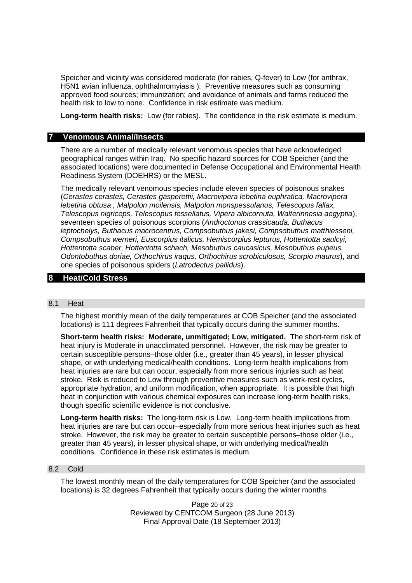Speicher and vicinity was considered moderate (for rabies, Q-fever) to Low (for anthrax, H5N1 avian influenza, ophthalmomyiasis ). Preventive measures such as consuming approved food sources; immunization; and avoidance of animals and farms reduced the health risk to low to none. Confidence in risk estimate was medium.

**Long-term health risks:** Low (for rabies). The confidence in the risk estimate is medium.

# **7 Venomous Animal/Insects**

There are a number of medically relevant venomous species that have acknowledged geographical ranges within Iraq. No specific hazard sources for COB Speicher (and the associated locations) were documented in Defense Occupational and Environmental Health Readiness System (DOEHRS) or the MESL.

The medically relevant venomous species include eleven species of poisonous snakes (*Cerastes cerastes, Cerastes gasperettii, Macrovipera lebetina euphratica, Macrovipera lebetina obtusa , Malpolon moilensis, Malpolon monspessulanus, Telescopus fallax, Telescopus nigriceps, Telescopus tessellatus, Vipera albicornuta, Walterinnesia aegyptia*), seventeen species of poisonous scorpions (*Androctonus crassicauda, Buthacus leptochelys, Buthacus macrocentrus, Compsobuthus jakesi, Compsobuthus matthiesseni, Compsobuthus werneri, Euscorpius italicus, Hemiscorpius lepturus, Hottentotta saulcyi, Hottentotta scaber, Hottentotta schach, Mesobuthus caucasicus, Mesobuthus eupeus, Odontobuthus doriae, Orthochirus iraqus, Orthochirus scrobiculosus, Scorpio maurus*), and one species of poisonous spiders (*Latrodectus pallidus*).

# **8 Heat/Cold Stress**

## 8.1 Heat

The highest monthly mean of the daily temperatures at COB Speicher (and the associated locations) is 111 degrees Fahrenheit that typically occurs during the summer months.

**Short-term health risks: Moderate, unmitigated; Low, mitigated.** The short-term risk of heat injury is Moderate in unacclimated personnel. However, the risk may be greater to certain susceptible persons–those older (i.e., greater than 45 years), in lesser physical shape, or with underlying medical/health conditions. Long-term health implications from heat injuries are rare but can occur, especially from more serious injuries such as heat stroke. Risk is reduced to Low through preventive measures such as work-rest cycles, appropriate hydration, and uniform modification, when appropriate. It is possible that high heat in conjunction with various chemical exposures can increase long-term health risks, though specific scientific evidence is not conclusive.

**Long-term health risks:** The long-term risk is Low. Long-term health implications from heat injuries are rare but can occur–especially from more serious heat injuries such as heat stroke. However, the risk may be greater to certain susceptible persons–those older (i.e., greater than 45 years), in lesser physical shape, or with underlying medical/health conditions. Confidence in these risk estimates is medium.

## 8.2 Cold

The lowest monthly mean of the daily temperatures for COB Speicher (and the associated locations) is 32 degrees Fahrenheit that typically occurs during the winter months

> Page 20 of 23 Reviewed by CENTCOM Surgeon (28 June 2013) Final Approval Date (18 September 2013)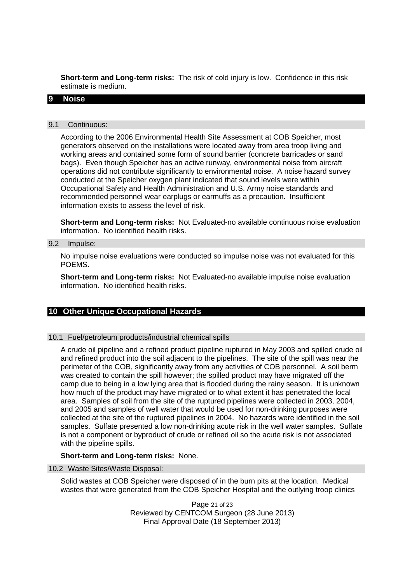**Short-term and Long-term risks:** The risk of cold injury is low. Confidence in this risk estimate is medium.

## **9 Noise**

#### 9.1 Continuous:

According to the 2006 Environmental Health Site Assessment at COB Speicher, most generators observed on the installations were located away from area troop living and working areas and contained some form of sound barrier (concrete barricades or sand bags). Even though Speicher has an active runway, environmental noise from aircraft operations did not contribute significantly to environmental noise. A noise hazard survey conducted at the Speicher oxygen plant indicated that sound levels were within Occupational Safety and Health Administration and U.S. Army noise standards and recommended personnel wear earplugs or earmuffs as a precaution. Insufficient information exists to assess the level of risk.

**Short-term and Long-term risks:** Not Evaluated-no available continuous noise evaluation information. No identified health risks.

## 9.2 Impulse:

No impulse noise evaluations were conducted so impulse noise was not evaluated for this POEMS.

**Short-term and Long-term risks:** Not Evaluated-no available impulse noise evaluation information. No identified health risks.

# **10 Other Unique Occupational Hazards**

## 10.1 Fuel/petroleum products/industrial chemical spills

A crude oil pipeline and a refined product pipeline ruptured in May 2003 and spilled crude oil and refined product into the soil adjacent to the pipelines. The site of the spill was near the perimeter of the COB, significantly away from any activities of COB personnel. A soil berm was created to contain the spill however; the spilled product may have migrated off the camp due to being in a low lying area that is flooded during the rainy season. It is unknown how much of the product may have migrated or to what extent it has penetrated the local area. Samples of soil from the site of the ruptured pipelines were collected in 2003, 2004, and 2005 and samples of well water that would be used for non-drinking purposes were collected at the site of the ruptured pipelines in 2004. No hazards were identified in the soil samples. Sulfate presented a low non-drinking acute risk in the well water samples. Sulfate is not a component or byproduct of crude or refined oil so the acute risk is not associated with the pipeline spills.

## **Short-term and Long-term risks:** None.

#### 10.2 Waste Sites/Waste Disposal:

Solid wastes at COB Speicher were disposed of in the burn pits at the location. Medical wastes that were generated from the COB Speicher Hospital and the outlying troop clinics

> Page 21 of 23 Reviewed by CENTCOM Surgeon (28 June 2013) Final Approval Date (18 September 2013)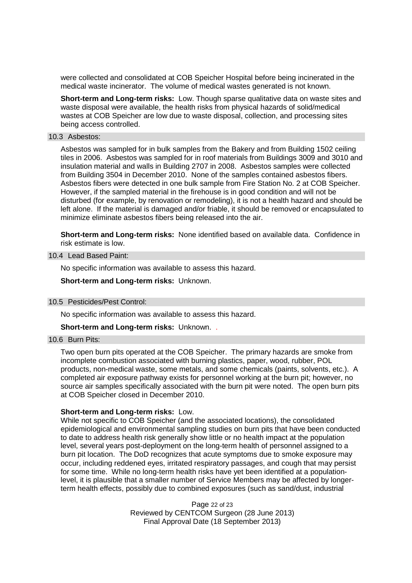were collected and consolidated at COB Speicher Hospital before being incinerated in the medical waste incinerator. The volume of medical wastes generated is not known.

**Short-term and Long-term risks:** Low. Though sparse qualitative data on waste sites and waste disposal were available, the health risks from physical hazards of solid/medical wastes at COB Speicher are low due to waste disposal, collection, and processing sites being access controlled.

#### 10.3 Asbestos:

Asbestos was sampled for in bulk samples from the Bakery and from Building 1502 ceiling tiles in 2006. Asbestos was sampled for in roof materials from Buildings 3009 and 3010 and insulation material and walls in Building 2707 in 2008. Asbestos samples were collected from Building 3504 in December 2010. None of the samples contained asbestos fibers. Asbestos fibers were detected in one bulk sample from Fire Station No. 2 at COB Speicher. However, if the sampled material in the firehouse is in good condition and will not be disturbed (for example, by renovation or remodeling), it is not a health hazard and should be left alone. If the material is damaged and/or friable, it should be removed or encapsulated to minimize eliminate asbestos fibers being released into the air.

**Short-term and Long-term risks:** None identified based on available data. Confidence in risk estimate is low.

## 10.4 Lead Based Paint:

No specific information was available to assess this hazard.

**Short-term and Long-term risks:** Unknown.

#### 10.5 Pesticides/Pest Control:

No specific information was available to assess this hazard.

**Short-term and Long-term risks:** Unknown. .

#### 10.6 Burn Pits:

Two open burn pits operated at the COB Speicher. The primary hazards are smoke from incomplete combustion associated with burning plastics, paper, wood, rubber, POL products, non-medical waste, some metals, and some chemicals (paints, solvents, etc.). A completed air exposure pathway exists for personnel working at the burn pit; however, no source air samples specifically associated with the burn pit were noted. The open burn pits at COB Speicher closed in December 2010.

#### **Short-term and Long-term risks:** Low.

While not specific to COB Speicher (and the associated locations), the consolidated epidemiological and environmental sampling studies on burn pits that have been conducted to date to address health risk generally show little or no health impact at the population level, several years post-deployment on the long-term health of personnel assigned to a burn pit location. The DoD recognizes that acute symptoms due to smoke exposure may occur, including reddened eyes, irritated respiratory passages, and cough that may persist for some time. While no long-term health risks have yet been identified at a populationlevel, it is plausible that a smaller number of Service Members may be affected by longerterm health effects, possibly due to combined exposures (such as sand/dust, industrial

> Page 22 of 23 Reviewed by CENTCOM Surgeon (28 June 2013) Final Approval Date (18 September 2013)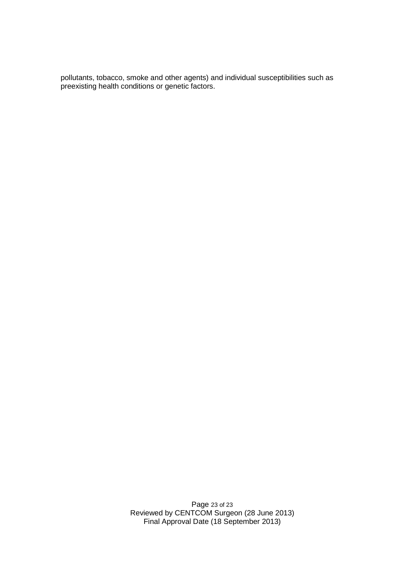pollutants, tobacco, smoke and other agents) and individual susceptibilities such as preexisting health conditions or genetic factors.

> Page 23 of 23 Reviewed by CENTCOM Surgeon (28 June 2013) Final Approval Date (18 September 2013)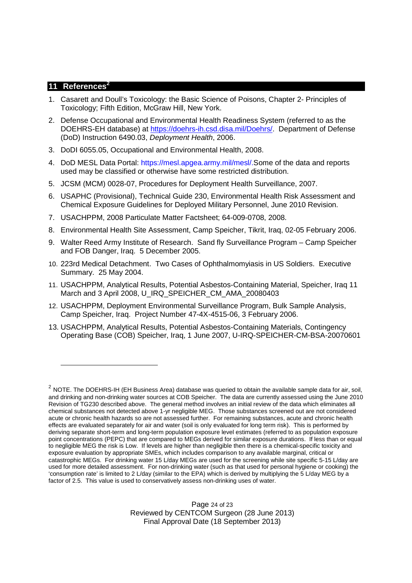# **11 References<sup>2</sup>**

- 1. Casarett and Doull's Toxicology: the Basic Science of Poisons, Chapter 2- Principles of Toxicology; Fifth Edition, McGraw Hill, New York.
- 2. Defense Occupational and Environmental Health Readiness System (referred to as the DOEHRS-EH database) at https://doehrs-ih.csd.disa.mil/Doehrs/. Department of Defense (DoD) Instruction 6490.03, *Deployment Health*, 2006.
- 3. DoDI 6055.05, Occupational and Environmental Health, 2008.
- 4. DoD MESL Data Portal: https://mesl.apgea.army.mil/mesl/.Some of the data and reports used may be classified or otherwise have some restricted distribution.
- 5. JCSM (MCM) 0028-07, Procedures for Deployment Health Surveillance, 2007.
- 6. USAPHC (Provisional), Technical Guide 230, Environmental Health Risk Assessment and Chemical Exposure Guidelines for Deployed Military Personnel, June 2010 Revision.
- 7. USACHPPM, 2008 Particulate Matter Factsheet; 64-009-0708, 2008.
- 8. Environmental Health Site Assessment, Camp Speicher, Tikrit, Iraq, 02-05 February 2006.
- 9. Walter Reed Army Institute of Research. Sand fly Surveillance Program Camp Speicher and FOB Danger, Iraq. 5 December 2005.
- 10. 223rd Medical Detachment. Two Cases of Ophthalmomyiasis in US Soldiers. Executive Summary. 25 May 2004.
- 11. USACHPPM, Analytical Results, Potential Asbestos-Containing Material, Speicher, Iraq 11 March and 3 April 2008, U\_IRQ\_SPEICHER\_CM\_AMA\_20080403
- 12. USACHPPM, Deployment Environmental Surveillance Program, Bulk Sample Analysis, Camp Speicher, Iraq. Project Number 47-4X-4515-06, 3 February 2006.
- 13. USACHPPM, Analytical Results, Potential Asbestos-Containing Materials, Contingency Operating Base (COB) Speicher, Iraq, 1 June 2007, U-IRQ-SPEICHER-CM-BSA-20070601

 $^2$  NOTE. The DOEHRS-IH (EH Business Area) database was queried to obtain the available sample data for air, soil, and drinking and non-drinking water sources at COB Speicher. The data are currently assessed using the June 2010 Revision of TG230 described above. The general method involves an initial review of the data which eliminates all chemical substances not detected above 1-yr negligible MEG. Those substances screened out are not considered acute or chronic health hazards so are not assessed further. For remaining substances, acute and chronic health effects are evaluated separately for air and water (soil is only evaluated for long term risk). This is performed by deriving separate short-term and long-term population exposure level estimates (referred to as population exposure point concentrations (PEPC) that are compared to MEGs derived for similar exposure durations. If less than or equal to negligible MEG the risk is Low. If levels are higher than negligible then there is a chemical-specific toxicity and exposure evaluation by appropriate SMEs, which includes comparison to any available marginal, critical or catastrophic MEGs. For drinking water 15 L/day MEGs are used for the screening while site specific 5-15 L/day are used for more detailed assessment. For non-drinking water (such as that used for personal hygiene or cooking) the 'consumption rate' is limited to 2 L/day (similar to the EPA) which is derived by multiplying the 5 L/day MEG by a factor of 2.5. This value is used to conservatively assess non-drinking uses of water.